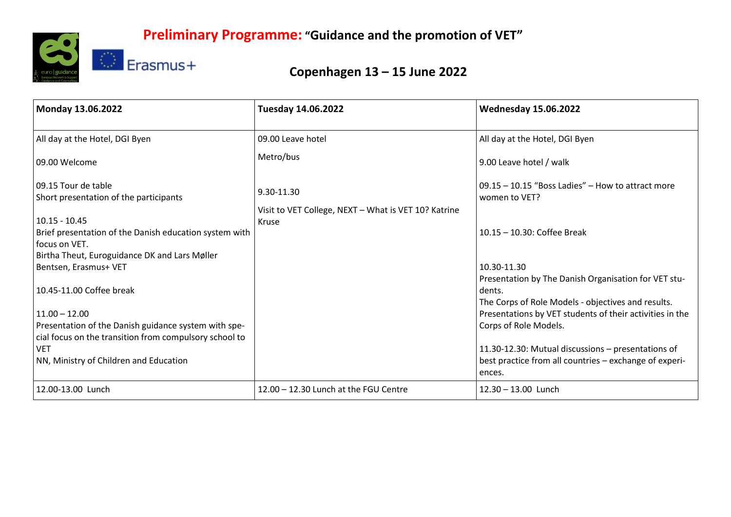

## **Copenhagen 13 – 15 June 2022**

| Monday 13.06.2022                                                                                              | Tuesday 14.06.2022                                            | <b>Wednesday 15.06.2022</b>                                                                                          |
|----------------------------------------------------------------------------------------------------------------|---------------------------------------------------------------|----------------------------------------------------------------------------------------------------------------------|
| All day at the Hotel, DGI Byen                                                                                 | 09.00 Leave hotel                                             | All day at the Hotel, DGI Byen                                                                                       |
| 09.00 Welcome                                                                                                  | Metro/bus                                                     | 9.00 Leave hotel / walk                                                                                              |
| 09.15 Tour de table<br>Short presentation of the participants                                                  | 9.30-11.30                                                    | 09.15 - 10.15 "Boss Ladies" - How to attract more<br>women to VET?                                                   |
| $10.15 - 10.45$                                                                                                | Visit to VET College, NEXT - What is VET 10? Katrine<br>Kruse |                                                                                                                      |
| Brief presentation of the Danish education system with<br>focus on VET.                                        |                                                               | 10.15 - 10.30: Coffee Break                                                                                          |
| Birtha Theut, Euroguidance DK and Lars Møller                                                                  |                                                               |                                                                                                                      |
| Bentsen, Erasmus+ VET                                                                                          |                                                               | 10.30-11.30                                                                                                          |
| 10.45-11.00 Coffee break                                                                                       |                                                               | Presentation by The Danish Organisation for VET stu-<br>dents.<br>The Corps of Role Models - objectives and results. |
| $11.00 - 12.00$                                                                                                |                                                               | Presentations by VET students of their activities in the                                                             |
| Presentation of the Danish guidance system with spe-<br>cial focus on the transition from compulsory school to |                                                               | Corps of Role Models.                                                                                                |
| <b>VET</b>                                                                                                     |                                                               | 11.30-12.30: Mutual discussions - presentations of                                                                   |
| NN, Ministry of Children and Education                                                                         |                                                               | best practice from all countries - exchange of experi-<br>ences.                                                     |
| 12.00-13.00 Lunch                                                                                              | 12.00 - 12.30 Lunch at the FGU Centre                         | $12.30 - 13.00$ Lunch                                                                                                |